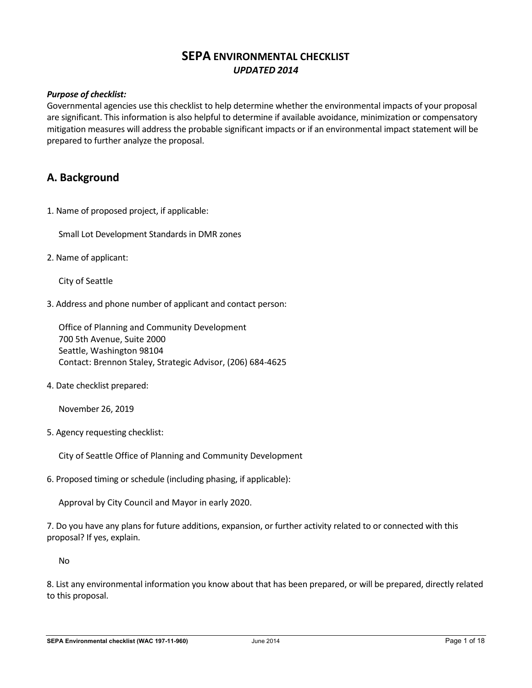# **SEPA ENVIRONMENTAL CHECKLIST** *UPDATED 2014*

# *Purpose of checklist:*

Governmental agencies use this checklist to help determine whether the environmental impacts of your proposal are significant. This information is also helpful to determine if available avoidance, minimization or compensatory mitigation measures will address the probable significant impacts or if an environmental impact statement will be prepared to further analyze the proposal.

# **A. Background**

1. Name of proposed project, if applicable:

Small Lot Development Standards in DMR zones

2. Name of applicant:

City of Seattle

3. Address and phone number of applicant and contact person:

Office of Planning and Community Development 700 5th Avenue, Suite 2000 Seattle, Washington 98104 Contact: Brennon Staley, Strategic Advisor, (206) 684-4625

4. Date checklist prepared:

November 26, 2019

5. Agency requesting checklist:

City of Seattle Office of Planning and Community Development

6. Proposed timing or schedule (including phasing, if applicable):

Approval by City Council and Mayor in early 2020.

7. Do you have any plans for future additions, expansion, or further activity related to or connected with this proposal? If yes, explain.

No

8. List any environmental information you know about that has been prepared, or will be prepared, directly related to this proposal.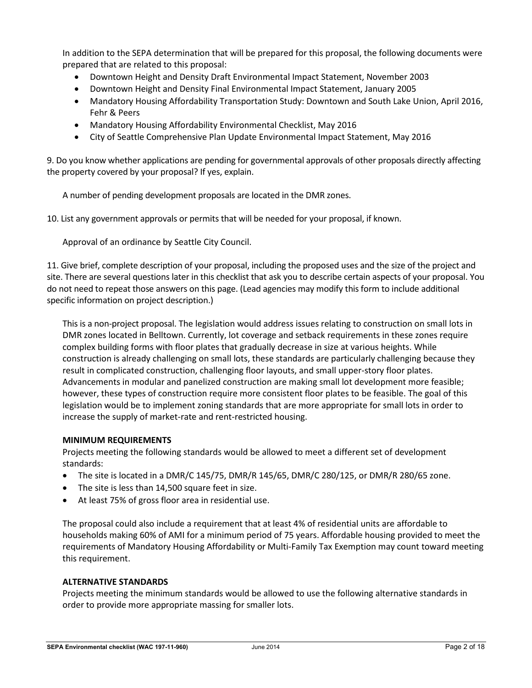In addition to the SEPA determination that will be prepared for this proposal, the following documents were prepared that are related to this proposal:

- Downtown Height and Density Draft Environmental Impact Statement, November 2003
- Downtown Height and Density Final Environmental Impact Statement, January 2005
- Mandatory Housing Affordability Transportation Study: Downtown and South Lake Union, April 2016, Fehr & Peers
- Mandatory Housing Affordability Environmental Checklist, May 2016
- City of Seattle Comprehensive Plan Update Environmental Impact Statement, May 2016

9. Do you know whether applications are pending for governmental approvals of other proposals directly affecting the property covered by your proposal? If yes, explain.

A number of pending development proposals are located in the DMR zones.

10. List any government approvals or permits that will be needed for your proposal, if known.

Approval of an ordinance by Seattle City Council.

11. Give brief, complete description of your proposal, including the proposed uses and the size of the project and site. There are several questions later in this checklist that ask you to describe certain aspects of your proposal. You do not need to repeat those answers on this page. (Lead agencies may modify this form to include additional specific information on project description.)

This is a non-project proposal. The legislation would address issues relating to construction on small lots in DMR zones located in Belltown. Currently, lot coverage and setback requirements in these zones require complex building forms with floor plates that gradually decrease in size at various heights. While construction is already challenging on small lots, these standards are particularly challenging because they result in complicated construction, challenging floor layouts, and small upper-story floor plates. Advancements in modular and panelized construction are making small lot development more feasible; however, these types of construction require more consistent floor plates to be feasible. The goal of this legislation would be to implement zoning standards that are more appropriate for small lots in order to increase the supply of market-rate and rent-restricted housing.

#### **MINIMUM REQUIREMENTS**

Projects meeting the following standards would be allowed to meet a different set of development standards:

- The site is located in a DMR/C 145/75, DMR/R 145/65, DMR/C 280/125, or DMR/R 280/65 zone.
- The site is less than 14,500 square feet in size.
- At least 75% of gross floor area in residential use.

The proposal could also include a requirement that at least 4% of residential units are affordable to households making 60% of AMI for a minimum period of 75 years. Affordable housing provided to meet the requirements of Mandatory Housing Affordability or Multi-Family Tax Exemption may count toward meeting this requirement.

#### **ALTERNATIVE STANDARDS**

Projects meeting the minimum standards would be allowed to use the following alternative standards in order to provide more appropriate massing for smaller lots.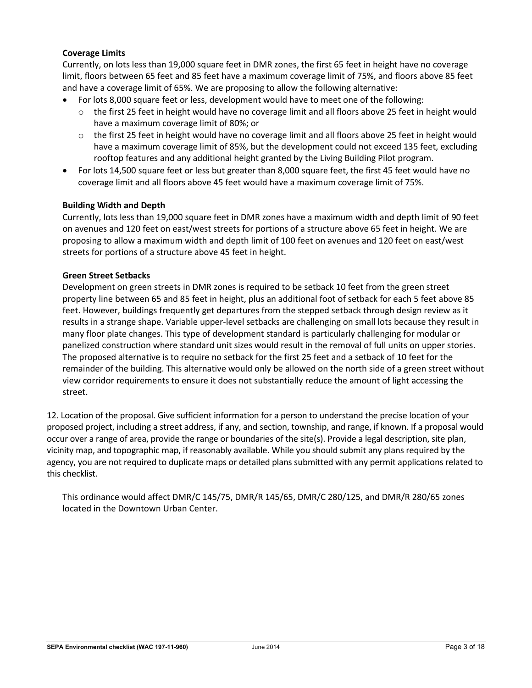# **Coverage Limits**

Currently, on lots less than 19,000 square feet in DMR zones, the first 65 feet in height have no coverage limit, floors between 65 feet and 85 feet have a maximum coverage limit of 75%, and floors above 85 feet and have a coverage limit of 65%. We are proposing to allow the following alternative:

- For lots 8,000 square feet or less, development would have to meet one of the following:
	- $\circ$  the first 25 feet in height would have no coverage limit and all floors above 25 feet in height would have a maximum coverage limit of 80%; or
	- $\circ$  the first 25 feet in height would have no coverage limit and all floors above 25 feet in height would have a maximum coverage limit of 85%, but the development could not exceed 135 feet, excluding rooftop features and any additional height granted by the Living Building Pilot program.
- For lots 14,500 square feet or less but greater than 8,000 square feet, the first 45 feet would have no coverage limit and all floors above 45 feet would have a maximum coverage limit of 75%.

# **Building Width and Depth**

Currently, lots less than 19,000 square feet in DMR zones have a maximum width and depth limit of 90 feet on avenues and 120 feet on east/west streets for portions of a structure above 65 feet in height. We are proposing to allow a maximum width and depth limit of 100 feet on avenues and 120 feet on east/west streets for portions of a structure above 45 feet in height.

## **Green Street Setbacks**

Development on green streets in DMR zones is required to be setback 10 feet from the green street property line between 65 and 85 feet in height, plus an additional foot of setback for each 5 feet above 85 feet. However, buildings frequently get departures from the stepped setback through design review as it results in a strange shape. Variable upper-level setbacks are challenging on small lots because they result in many floor plate changes. This type of development standard is particularly challenging for modular or panelized construction where standard unit sizes would result in the removal of full units on upper stories. The proposed alternative is to require no setback for the first 25 feet and a setback of 10 feet for the remainder of the building. This alternative would only be allowed on the north side of a green street without view corridor requirements to ensure it does not substantially reduce the amount of light accessing the street.

12. Location of the proposal. Give sufficient information for a person to understand the precise location of your proposed project, including a street address, if any, and section, township, and range, if known. If a proposal would occur over a range of area, provide the range or boundaries of the site(s). Provide a legal description, site plan, vicinity map, and topographic map, if reasonably available. While you should submit any plans required by the agency, you are not required to duplicate maps or detailed plans submitted with any permit applications related to this checklist.

This ordinance would affect DMR/C 145/75, DMR/R 145/65, DMR/C 280/125, and DMR/R 280/65 zones located in the Downtown Urban Center.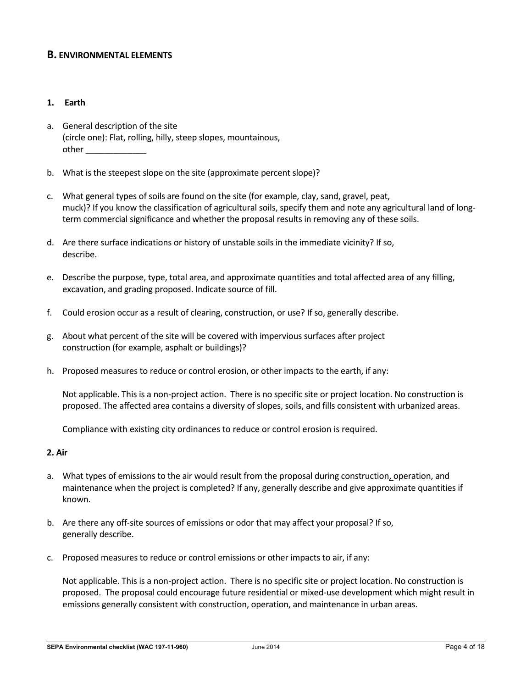# **B. ENVIRONMENTAL ELEMENTS**

## **1. Earth**

- a. General description of the site (circle one): Flat, rolling, hilly, steep slopes, mountainous, other  $\Box$
- b. What is the steepest slope on the site (approximate percent slope)?
- c. What general types of soils are found on the site (for example, clay, sand, gravel, peat, muck)? If you know the classification of agricultural soils, specify them and note any agricultural land of longterm commercial significance and whether the proposal results in removing any of these soils.
- d. Are there surface indications or history of unstable soils in the immediate vicinity? If so, describe.
- e. Describe the purpose, type, total area, and approximate quantities and total affected area of any filling, excavation, and grading proposed. Indicate source of fill.
- f. Could erosion occur as a result of clearing, construction, or use? If so, generally describe.
- g. About what percent of the site will be covered with impervious surfaces after project construction (for example, asphalt or buildings)?
- h. Proposed measures to reduce or control erosion, or other impacts to the earth, if any:

Not applicable. This is a non-project action. There is no specific site or project location. No construction is proposed. The affected area contains a diversity of slopes, soils, and fills consistent with urbanized areas.

Compliance with existing city ordinances to reduce or control erosion is required.

#### **2. Air**

- a. What types of emissions to the air would result from the proposal during construction, operation, and maintenance when the project is completed? If any, generally describe and give approximate quantities if known.
- b. Are there any off-site sources of emissions or odor that may affect your proposal? If so, generally describe.
- c. Proposed measures to reduce or control emissions or other impacts to air, if any:

Not applicable. This is a non-project action. There is no specific site or project location. No construction is proposed. The proposal could encourage future residential or mixed-use development which might result in emissions generally consistent with construction, operation, and maintenance in urban areas.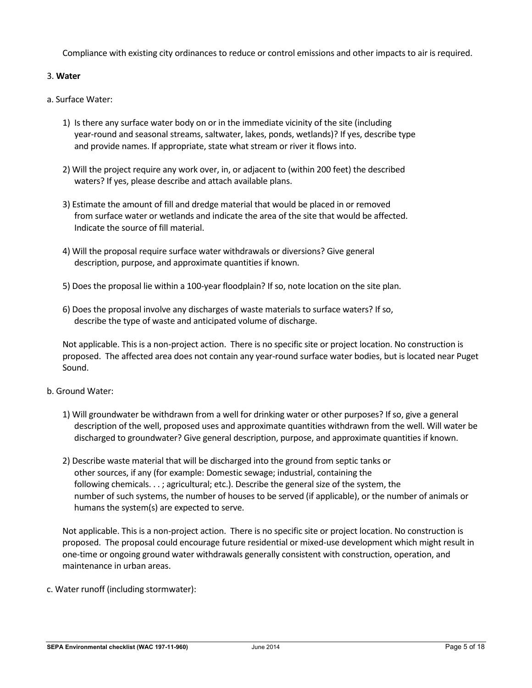Compliance with existing city ordinances to reduce or control emissions and other impacts to air is required.

# 3. **Water**

- a. Surface Water:
	- 1) Is there any surface water body on or in the immediate vicinity of the site (including year-round and seasonal streams, saltwater, lakes, ponds, wetlands)? If yes, describe type and provide names. If appropriate, state what stream or river it flows into.
	- 2) Will the project require any work over, in, or adjacent to (within 200 feet) the described waters? If yes, please describe and attach available plans.
	- 3) Estimate the amount of fill and dredge material that would be placed in or removed from surface water or wetlands and indicate the area of the site that would be affected. Indicate the source of fill material.
	- 4) Will the proposal require surface water withdrawals or diversions? Give general description, purpose, and approximate quantities if known.
	- 5) Does the proposal lie within a 100-year floodplain? If so, note location on the site plan.
	- 6) Does the proposal involve any discharges of waste materials to surface waters? If so, describe the type of waste and anticipated volume of discharge.

Not applicable. This is a non-project action. There is no specific site or project location. No construction is proposed. The affected area does not contain any year-round surface water bodies, but is located near Puget Sound.

# b. Ground Water:

- 1) Will groundwater be withdrawn from a well for drinking water or other purposes? If so, give a general description of the well, proposed uses and approximate quantities withdrawn from the well. Will water be discharged to groundwater? Give general description, purpose, and approximate quantities if known.
- 2) Describe waste material that will be discharged into the ground from septic tanks or other sources, if any (for example: Domestic sewage; industrial, containing the following chemicals. . . ; agricultural; etc.). Describe the general size of the system, the number of such systems, the number of houses to be served (if applicable), or the number of animals or humans the system(s) are expected to serve.

Not applicable. This is a non-project action. There is no specific site or project location. No construction is proposed. The proposal could encourage future residential or mixed-use development which might result in one-time or ongoing ground water withdrawals generally consistent with construction, operation, and maintenance in urban areas.

c. Water runoff (including stormwater):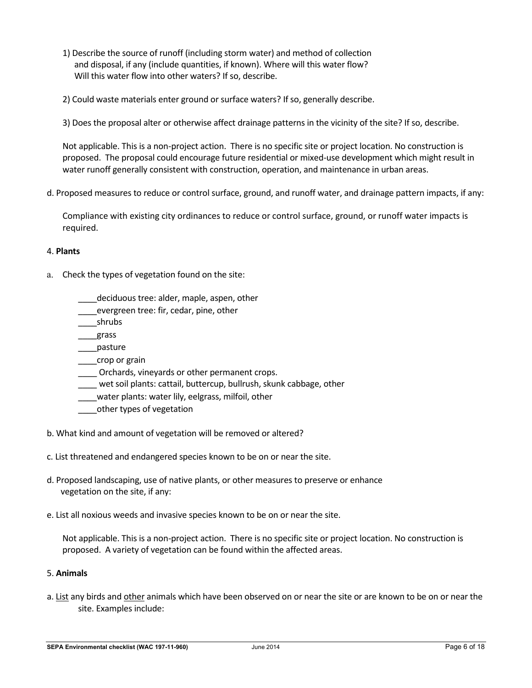- 1) Describe the source of runoff (including storm water) and method of collection and disposal, if any (include quantities, if known). Where will this water flow? Will this water flow into other waters? If so, describe.
- 2) Could waste materials enter ground or surface waters? If so, generally describe.
- 3) Does the proposal alter or otherwise affect drainage patterns in the vicinity of the site? If so, describe.

Not applicable. This is a non-project action. There is no specific site or project location. No construction is proposed. The proposal could encourage future residential or mixed-use development which might result in water runoff generally consistent with construction, operation, and maintenance in urban areas.

d. Proposed measures to reduce or control surface, ground, and runoff water, and drainage pattern impacts, if any:

Compliance with existing city ordinances to reduce or control surface, ground, or runoff water impacts is required.

# 4. **Plants**

- a. Check the types of vegetation found on the site:
	- \_\_\_\_deciduous tree: alder, maple, aspen, other
	- \_\_\_\_evergreen tree: fir, cedar, pine, other
	- \_\_\_\_shrubs
	- \_\_\_\_grass
	- \_\_\_\_pasture
	- \_\_\_\_crop or grain
	- \_\_\_\_ Orchards, vineyards or other permanent crops.
	- wet soil plants: cattail, buttercup, bullrush, skunk cabbage, other
	- water plants: water lily, eelgrass, milfoil, other
	- \_\_\_\_other types of vegetation
- b. What kind and amount of vegetation will be removed or altered?
- c. List threatened and endangered species known to be on or near the site.
- d. Proposed landscaping, use of native plants, or other measures to preserve or enhance vegetation on the site, if any:
- e. List all noxious weeds and invasive species known to be on or near the site.

Not applicable. This is a non-project action. There is no specific site or project location. No construction is proposed. A variety of vegetation can be found within the affected areas.

# 5. **Animals**

a. List any birds and other animals which have been observed on or near the site or are known to be on or near the site. Examples include: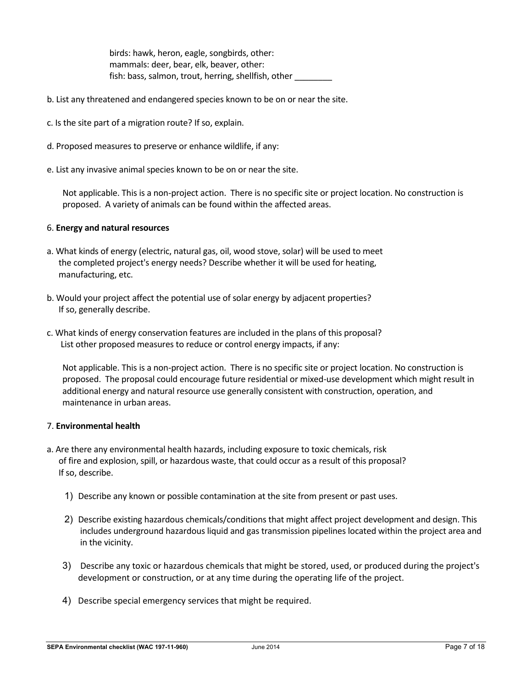birds: hawk, heron, eagle, songbirds, other: mammals: deer, bear, elk, beaver, other: fish: bass, salmon, trout, herring, shellfish, other \_\_\_\_\_\_\_\_

- b. List any threatened and endangered species known to be on or near the site.
- c. Is the site part of a migration route? If so, explain.
- d. Proposed measures to preserve or enhance wildlife, if any:
- e. List any invasive animal species known to be on or near the site.

Not applicable. This is a non-project action. There is no specific site or project location. No construction is proposed. A variety of animals can be found within the affected areas.

## 6. **Energy and natural resources**

- a. What kinds of energy (electric, natural gas, oil, wood stove, solar) will be used to meet the completed project's energy needs? Describe whether it will be used for heating, manufacturing, etc.
- b. Would your project affect the potential use of solar energy by adjacent properties? If so, generally describe.
- c. What kinds of energy conservation features are included in the plans of this proposal? List other proposed measures to reduce or control energy impacts, if any:

Not applicable. This is a non-project action. There is no specific site or project location. No construction is proposed. The proposal could encourage future residential or mixed-use development which might result in additional energy and natural resource use generally consistent with construction, operation, and maintenance in urban areas.

## 7. **Environmental health**

- a. Are there any environmental health hazards, including exposure to toxic chemicals, risk of fire and explosion, spill, or hazardous waste, that could occur as a result of this proposal? If so, describe.
	- 1) Describe any known or possible contamination at the site from present or past uses.
	- 2) Describe existing hazardous chemicals/conditions that might affect project development and design. This includes underground hazardous liquid and gas transmission pipelines located within the project area and in the vicinity.
	- 3) Describe any toxic or hazardous chemicals that might be stored, used, or produced during the project's development or construction, or at any time during the operating life of the project.
	- 4) Describe special emergency services that might be required.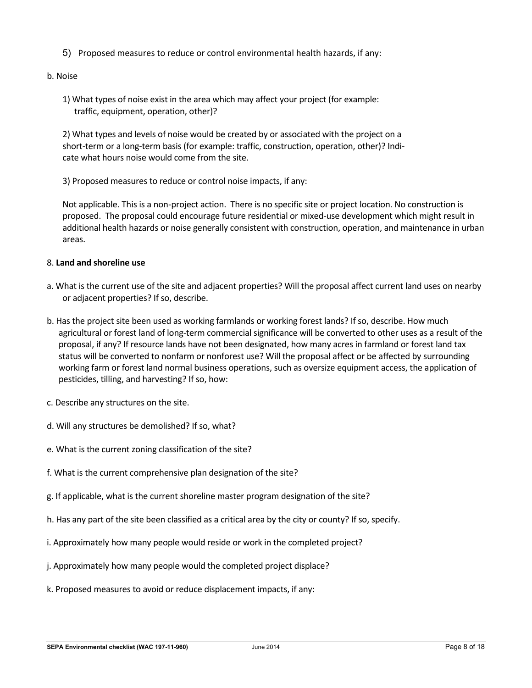5) Proposed measures to reduce or control environmental health hazards, if any:

# b. Noise

1) What types of noise exist in the area which may affect your project (for example: traffic, equipment, operation, other)?

2) What types and levels of noise would be created by or associated with the project on a short-term or a long-term basis (for example: traffic, construction, operation, other)? Indicate what hours noise would come from the site.

3) Proposed measures to reduce or control noise impacts, if any:

Not applicable. This is a non-project action. There is no specific site or project location. No construction is proposed. The proposal could encourage future residential or mixed-use development which might result in additional health hazards or noise generally consistent with construction, operation, and maintenance in urban areas.

# 8. **Land and shoreline use**

- a. What is the current use of the site and adjacent properties? Will the proposal affect current land uses on nearby or adjacent properties? If so, describe.
- b. Has the project site been used as working farmlands or working forest lands? If so, describe. How much agricultural or forest land of long-term commercial significance will be converted to other uses as a result of the proposal, if any? If resource lands have not been designated, how many acres in farmland or forest land tax status will be converted to nonfarm or nonforest use? Will the proposal affect or be affected by surrounding working farm or forest land normal business operations, such as oversize equipment access, the application of pesticides, tilling, and harvesting? If so, how:
- c. Describe any structures on the site.
- d. Will any structures be demolished? If so, what?
- e. What is the current zoning classification of the site?
- f. What is the current comprehensive plan designation of the site?
- g. If applicable, what is the current shoreline master program designation of the site?
- h. Has any part of the site been classified as a critical area by the city or county? If so, specify.
- i. Approximately how many people would reside or work in the completed project?
- j. Approximately how many people would the completed project displace?
- k. Proposed measures to avoid or reduce displacement impacts, if any: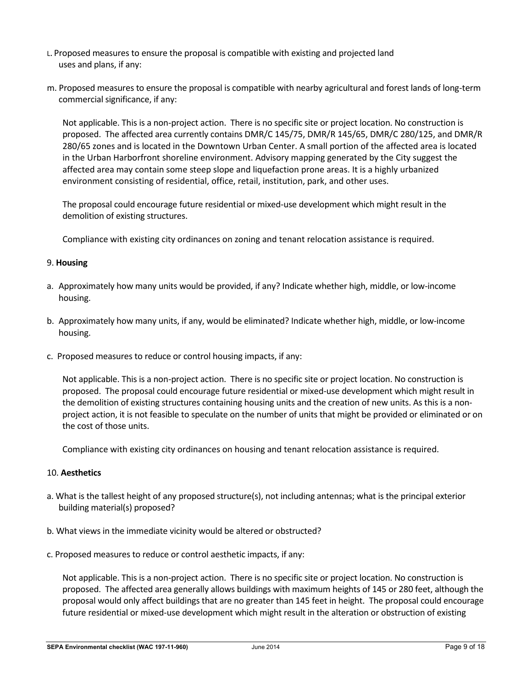- L. Proposed measures to ensure the proposal is compatible with existing and projected land uses and plans, if any:
- m. Proposed measures to ensure the proposal is compatible with nearby agricultural and forest lands of long-term commercial significance, if any:

Not applicable. This is a non-project action. There is no specific site or project location. No construction is proposed. The affected area currently contains DMR/C 145/75, DMR/R 145/65, DMR/C 280/125, and DMR/R 280/65 zones and is located in the Downtown Urban Center. A small portion of the affected area is located in the Urban Harborfront shoreline environment. Advisory mapping generated by the City suggest the affected area may contain some steep slope and liquefaction prone areas. It is a highly urbanized environment consisting of residential, office, retail, institution, park, and other uses.

The proposal could encourage future residential or mixed-use development which might result in the demolition of existing structures.

Compliance with existing city ordinances on zoning and tenant relocation assistance is required.

## 9. **Housing**

- a. Approximately how many units would be provided, if any? Indicate whether high, middle, or low-income housing.
- b. Approximately how many units, if any, would be eliminated? Indicate whether high, middle, or low-income housing.
- c. Proposed measures to reduce or control housing impacts, if any:

Not applicable. This is a non-project action. There is no specific site or project location. No construction is proposed. The proposal could encourage future residential or mixed-use development which might result in the demolition of existing structures containing housing units and the creation of new units. As this is a nonproject action, it is not feasible to speculate on the number of units that might be provided or eliminated or on the cost of those units.

Compliance with existing city ordinances on housing and tenant relocation assistance is required.

#### 10. **Aesthetics**

- a. What is the tallest height of any proposed structure(s), not including antennas; what is the principal exterior building material(s) proposed?
- b. What views in the immediate vicinity would be altered or obstructed?
- c. Proposed measures to reduce or control aesthetic impacts, if any:

Not applicable. This is a non-project action. There is no specific site or project location. No construction is proposed. The affected area generally allows buildings with maximum heights of 145 or 280 feet, although the proposal would only affect buildings that are no greater than 145 feet in height. The proposal could encourage future residential or mixed-use development which might result in the alteration or obstruction of existing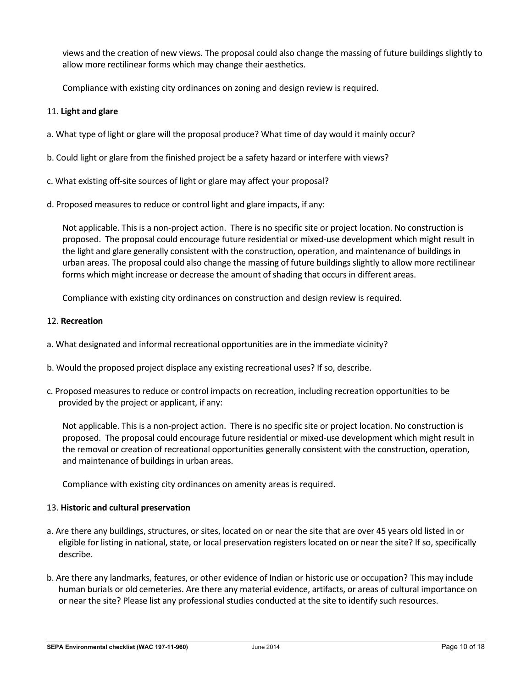views and the creation of new views. The proposal could also change the massing of future buildings slightly to allow more rectilinear forms which may change their aesthetics.

Compliance with existing city ordinances on zoning and design review is required.

## 11. **Light and glare**

- a. What type of light or glare will the proposal produce? What time of day would it mainly occur?
- b. Could light or glare from the finished project be a safety hazard or interfere with views?
- c. What existing off-site sources of light or glare may affect your proposal?
- d. Proposed measures to reduce or control light and glare impacts, if any:

Not applicable. This is a non-project action. There is no specific site or project location. No construction is proposed. The proposal could encourage future residential or mixed-use development which might result in the light and glare generally consistent with the construction, operation, and maintenance of buildings in urban areas. The proposal could also change the massing of future buildings slightly to allow more rectilinear forms which might increase or decrease the amount of shading that occurs in different areas.

Compliance with existing city ordinances on construction and design review is required.

## 12. **Recreation**

- a. What designated and informal recreational opportunities are in the immediate vicinity?
- b. Would the proposed project displace any existing recreational uses? If so, describe.
- c. Proposed measures to reduce or control impacts on recreation, including recreation opportunities to be provided by the project or applicant, if any:

Not applicable. This is a non-project action. There is no specific site or project location. No construction is proposed. The proposal could encourage future residential or mixed-use development which might result in the removal or creation of recreational opportunities generally consistent with the construction, operation, and maintenance of buildings in urban areas.

Compliance with existing city ordinances on amenity areas is required.

#### 13. **Historic and cultural preservation**

- a. Are there any buildings, structures, or sites, located on or near the site that are over 45 years old listed in or eligible for listing in national, state, or local preservation registers located on or near the site? If so, specifically describe.
- b. Are there any landmarks, features, or other evidence of Indian or historic use or occupation? This may include human burials or old cemeteries. Are there any material evidence, artifacts, or areas of cultural importance on or near the site? Please list any professional studies conducted at the site to identify such resources.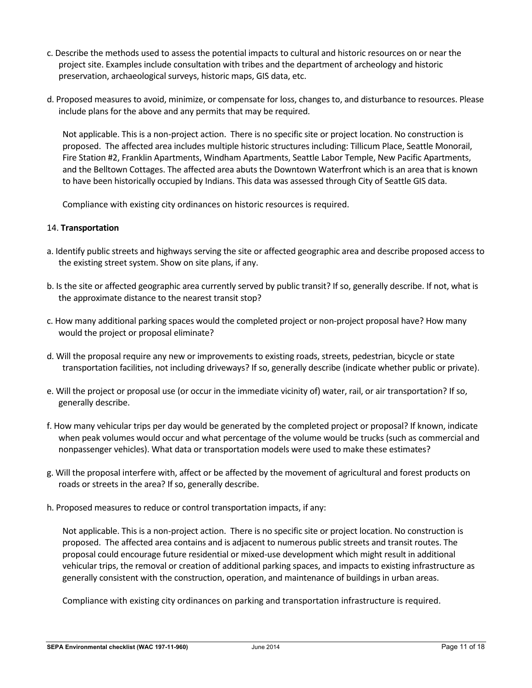- c. Describe the methods used to assess the potential impacts to cultural and historic resources on or near the project site. Examples include consultation with tribes and the department of archeology and historic preservation, archaeological surveys, historic maps, GIS data, etc.
- d. Proposed measures to avoid, minimize, or compensate for loss, changes to, and disturbance to resources. Please include plans for the above and any permits that may be required.

Not applicable. This is a non-project action. There is no specific site or project location. No construction is proposed. The affected area includes multiple historic structures including: Tillicum Place, Seattle Monorail, Fire Station #2, Franklin Apartments, Windham Apartments, Seattle Labor Temple, New Pacific Apartments, and the Belltown Cottages. The affected area abuts the Downtown Waterfront which is an area that is known to have been historically occupied by Indians. This data was assessed through City of Seattle GIS data.

Compliance with existing city ordinances on historic resources is required.

## 14. **Transportation**

- a. Identify public streets and highways serving the site or affected geographic area and describe proposed access to the existing street system. Show on site plans, if any.
- b. Is the site or affected geographic area currently served by public transit? If so, generally describe. If not, what is the approximate distance to the nearest transit stop?
- c. How many additional parking spaces would the completed project or non-project proposal have? How many would the project or proposal eliminate?
- d. Will the proposal require any new or improvements to existing roads, streets, pedestrian, bicycle or state transportation facilities, not including driveways? If so, generally describe (indicate whether public or private).
- e. Will the project or proposal use (or occur in the immediate vicinity of) water, rail, or air transportation? If so, generally describe.
- f. How many vehicular trips per day would be generated by the completed project or proposal? If known, indicate when peak volumes would occur and what percentage of the volume would be trucks (such as commercial and nonpassenger vehicles). What data or transportation models were used to make these estimates?
- g. Will the proposal interfere with, affect or be affected by the movement of agricultural and forest products on roads or streets in the area? If so, generally describe.
- h. Proposed measures to reduce or control transportation impacts, if any:

Not applicable. This is a non-project action. There is no specific site or project location. No construction is proposed. The affected area contains and is adjacent to numerous public streets and transit routes. The proposal could encourage future residential or mixed-use development which might result in additional vehicular trips, the removal or creation of additional parking spaces, and impacts to existing infrastructure as generally consistent with the construction, operation, and maintenance of buildings in urban areas.

Compliance with existing city ordinances on parking and transportation infrastructure is required.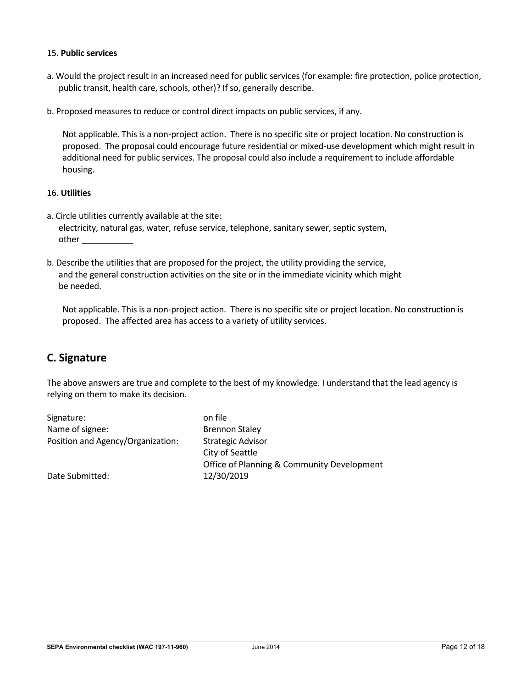## 15. **Public services**

- a. Would the project result in an increased need for public services (for example: fire protection, police protection, public transit, health care, schools, other)? If so, generally describe.
- b. Proposed measures to reduce or control direct impacts on public services, if any.

Not applicable. This is a non-project action. There is no specific site or project location. No construction is proposed. The proposal could encourage future residential or mixed-use development which might result in additional need for public services. The proposal could also include a requirement to include affordable housing.

## 16. **Utilities**

- a. Circle utilities currently available at the site: electricity, natural gas, water, refuse service, telephone, sanitary sewer, septic system, other \_\_\_\_\_\_\_\_\_\_\_
- b. Describe the utilities that are proposed for the project, the utility providing the service, and the general construction activities on the site or in the immediate vicinity which might be needed.

Not applicable. This is a non-project action. There is no specific site or project location. No construction is proposed. The affected area has access to a variety of utility services.

# **C. Signature**

The above answers are true and complete to the best of my knowledge. I understand that the lead agency is relying on them to make its decision.

| Signature:                        | on file                                    |
|-----------------------------------|--------------------------------------------|
| Name of signee:                   | <b>Brennon Staley</b>                      |
| Position and Agency/Organization: | <b>Strategic Advisor</b>                   |
|                                   | City of Seattle                            |
|                                   | Office of Planning & Community Development |
| Date Submitted:                   | 12/30/2019                                 |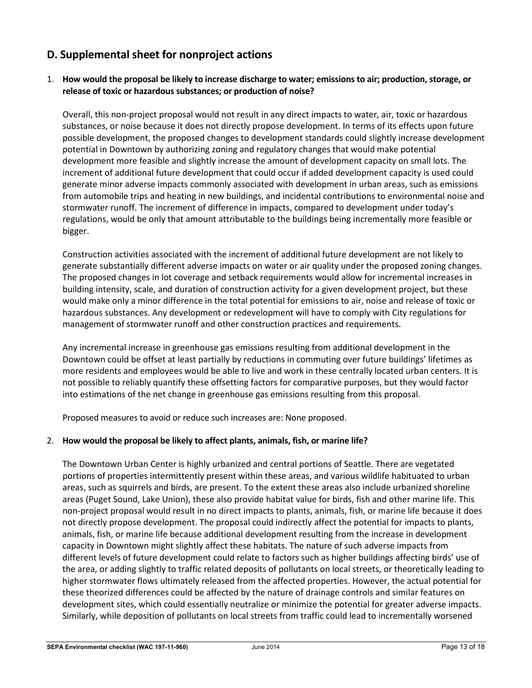# **D. Supplemental sheet for nonproject actions**

# 1. **How would the proposal be likely to increase discharge to water; emissions to air; production, storage, or release of toxic or hazardous substances; or production of noise?**

Overall, this non-project proposal would not result in any direct impacts to water, air, toxic or hazardous substances, or noise because it does not directly propose development. In terms of its effects upon future possible development, the proposed changes to development standards could slightly increase development potential in Downtown by authorizing zoning and regulatory changes that would make potential development more feasible and slightly increase the amount of development capacity on small lots. The increment of additional future development that could occur if added development capacity is used could generate minor adverse impacts commonly associated with development in urban areas, such as emissions from automobile trips and heating in new buildings, and incidental contributions to environmental noise and stormwater runoff. The increment of difference in impacts, compared to development under today's regulations, would be only that amount attributable to the buildings being incrementally more feasible or bigger.

Construction activities associated with the increment of additional future development are not likely to generate substantially different adverse impacts on water or air quality under the proposed zoning changes. The proposed changes in lot coverage and setback requirements would allow for incremental increases in building intensity, scale, and duration of construction activity for a given development project, but these would make only a minor difference in the total potential for emissions to air, noise and release of toxic or hazardous substances. Any development or redevelopment will have to comply with City regulations for management of stormwater runoff and other construction practices and requirements.

Any incremental increase in greenhouse gas emissions resulting from additional development in the Downtown could be offset at least partially by reductions in commuting over future buildings' lifetimes as more residents and employees would be able to live and work in these centrally located urban centers. It is not possible to reliably quantify these offsetting factors for comparative purposes, but they would factor into estimations of the net change in greenhouse gas emissions resulting from this proposal.

Proposed measures to avoid or reduce such increases are: None proposed.

# 2. **How would the proposal be likely to affect plants, animals, fish, or marine life?**

The Downtown Urban Center is highly urbanized and central portions of Seattle. There are vegetated portions of properties intermittently present within these areas, and various wildlife habituated to urban areas, such as squirrels and birds, are present. To the extent these areas also include urbanized shoreline areas (Puget Sound, Lake Union), these also provide habitat value for birds, fish and other marine life. This non-project proposal would result in no direct impacts to plants, animals, fish, or marine life because it does not directly propose development. The proposal could indirectly affect the potential for impacts to plants, animals, fish, or marine life because additional development resulting from the increase in development capacity in Downtown might slightly affect these habitats. The nature of such adverse impacts from different levels of future development could relate to factors such as higher buildings affecting birds' use of the area, or adding slightly to traffic related deposits of pollutants on local streets, or theoretically leading to higher stormwater flows ultimately released from the affected properties. However, the actual potential for these theorized differences could be affected by the nature of drainage controls and similar features on development sites, which could essentially neutralize or minimize the potential for greater adverse impacts. Similarly, while deposition of pollutants on local streets from traffic could lead to incrementally worsened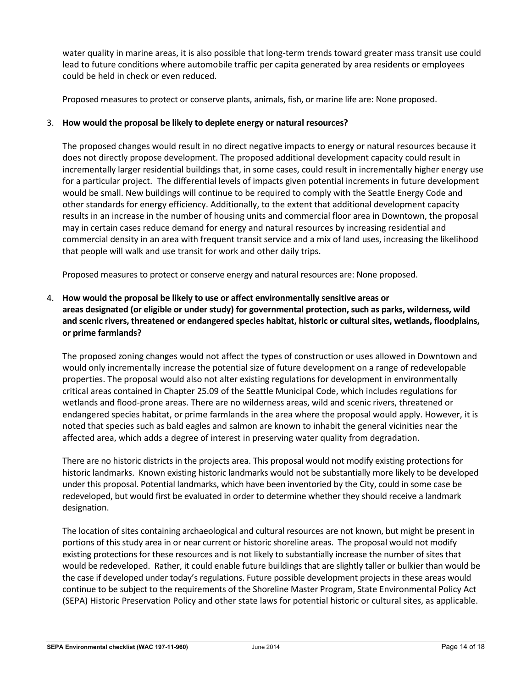water quality in marine areas, it is also possible that long-term trends toward greater mass transit use could lead to future conditions where automobile traffic per capita generated by area residents or employees could be held in check or even reduced.

Proposed measures to protect or conserve plants, animals, fish, or marine life are: None proposed.

# 3. **How would the proposal be likely to deplete energy or natural resources?**

The proposed changes would result in no direct negative impacts to energy or natural resources because it does not directly propose development. The proposed additional development capacity could result in incrementally larger residential buildings that, in some cases, could result in incrementally higher energy use for a particular project. The differential levels of impacts given potential increments in future development would be small. New buildings will continue to be required to comply with the Seattle Energy Code and other standards for energy efficiency. Additionally, to the extent that additional development capacity results in an increase in the number of housing units and commercial floor area in Downtown, the proposal may in certain cases reduce demand for energy and natural resources by increasing residential and commercial density in an area with frequent transit service and a mix of land uses, increasing the likelihood that people will walk and use transit for work and other daily trips.

Proposed measures to protect or conserve energy and natural resources are: None proposed.

# 4. **How would the proposal be likely to use or affect environmentally sensitive areas or areas designated (or eligible or under study) for governmental protection, such as parks, wilderness, wild and scenic rivers, threatened or endangered species habitat, historic or cultural sites, wetlands, floodplains, or prime farmlands?**

The proposed zoning changes would not affect the types of construction or uses allowed in Downtown and would only incrementally increase the potential size of future development on a range of redevelopable properties. The proposal would also not alter existing regulations for development in environmentally critical areas contained in Chapter 25.09 of the Seattle Municipal Code, which includes regulations for wetlands and flood-prone areas. There are no wilderness areas, wild and scenic rivers, threatened or endangered species habitat, or prime farmlands in the area where the proposal would apply. However, it is noted that species such as bald eagles and salmon are known to inhabit the general vicinities near the affected area, which adds a degree of interest in preserving water quality from degradation.

There are no historic districts in the projects area. This proposal would not modify existing protections for historic landmarks. Known existing historic landmarks would not be substantially more likely to be developed under this proposal. Potential landmarks, which have been inventoried by the City, could in some case be redeveloped, but would first be evaluated in order to determine whether they should receive a landmark designation.

The location of sites containing archaeological and cultural resources are not known, but might be present in portions of this study area in or near current or historic shoreline areas. The proposal would not modify existing protections for these resources and is not likely to substantially increase the number of sites that would be redeveloped. Rather, it could enable future buildings that are slightly taller or bulkier than would be the case if developed under today's regulations. Future possible development projects in these areas would continue to be subject to the requirements of the Shoreline Master Program, State Environmental Policy Act (SEPA) Historic Preservation Policy and other state laws for potential historic or cultural sites, as applicable.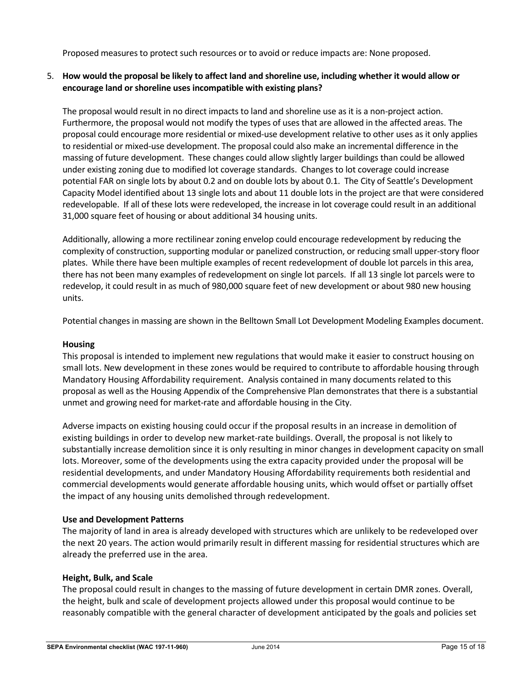Proposed measures to protect such resources or to avoid or reduce impacts are: None proposed.

# 5. **How would the proposal be likely to affect land and shoreline use, including whether it would allow or encourage land or shoreline uses incompatible with existing plans?**

The proposal would result in no direct impacts to land and shoreline use as it is a non-project action. Furthermore, the proposal would not modify the types of uses that are allowed in the affected areas. The proposal could encourage more residential or mixed-use development relative to other uses as it only applies to residential or mixed-use development. The proposal could also make an incremental difference in the massing of future development. These changes could allow slightly larger buildings than could be allowed under existing zoning due to modified lot coverage standards. Changes to lot coverage could increase potential FAR on single lots by about 0.2 and on double lots by about 0.1. The City of Seattle's Development Capacity Model identified about 13 single lots and about 11 double lots in the project are that were considered redevelopable. If all of these lots were redeveloped, the increase in lot coverage could result in an additional 31,000 square feet of housing or about additional 34 housing units.

Additionally, allowing a more rectilinear zoning envelop could encourage redevelopment by reducing the complexity of construction, supporting modular or panelized construction, or reducing small upper-story floor plates. While there have been multiple examples of recent redevelopment of double lot parcels in this area, there has not been many examples of redevelopment on single lot parcels. If all 13 single lot parcels were to redevelop, it could result in as much of 980,000 square feet of new development or about 980 new housing units.

Potential changes in massing are shown in the Belltown Small Lot Development Modeling Examples document.

# **Housing**

This proposal is intended to implement new regulations that would make it easier to construct housing on small lots. New development in these zones would be required to contribute to affordable housing through Mandatory Housing Affordability requirement. Analysis contained in many documents related to this proposal as well as the Housing Appendix of the Comprehensive Plan demonstrates that there is a substantial unmet and growing need for market-rate and affordable housing in the City.

Adverse impacts on existing housing could occur if the proposal results in an increase in demolition of existing buildings in order to develop new market-rate buildings. Overall, the proposal is not likely to substantially increase demolition since it is only resulting in minor changes in development capacity on small lots. Moreover, some of the developments using the extra capacity provided under the proposal will be residential developments, and under Mandatory Housing Affordability requirements both residential and commercial developments would generate affordable housing units, which would offset or partially offset the impact of any housing units demolished through redevelopment.

#### **Use and Development Patterns**

The majority of land in area is already developed with structures which are unlikely to be redeveloped over the next 20 years. The action would primarily result in different massing for residential structures which are already the preferred use in the area.

# **Height, Bulk, and Scale**

The proposal could result in changes to the massing of future development in certain DMR zones. Overall, the height, bulk and scale of development projects allowed under this proposal would continue to be reasonably compatible with the general character of development anticipated by the goals and policies set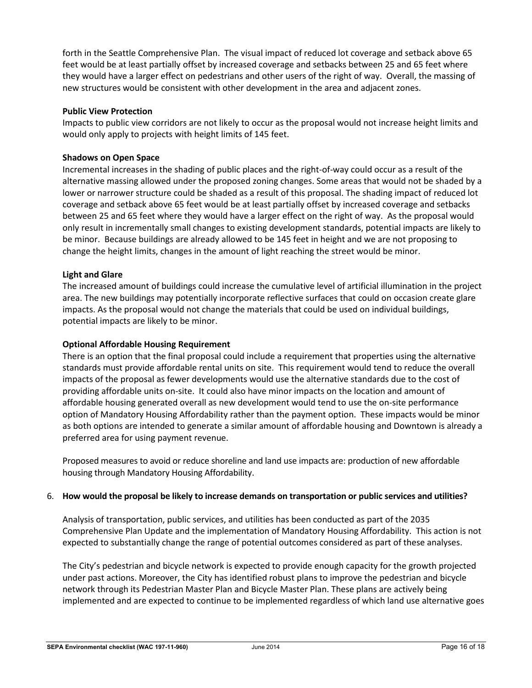forth in the Seattle Comprehensive Plan. The visual impact of reduced lot coverage and setback above 65 feet would be at least partially offset by increased coverage and setbacks between 25 and 65 feet where they would have a larger effect on pedestrians and other users of the right of way. Overall, the massing of new structures would be consistent with other development in the area and adjacent zones.

## **Public View Protection**

Impacts to public view corridors are not likely to occur as the proposal would not increase height limits and would only apply to projects with height limits of 145 feet.

## **Shadows on Open Space**

Incremental increases in the shading of public places and the right-of-way could occur as a result of the alternative massing allowed under the proposed zoning changes. Some areas that would not be shaded by a lower or narrower structure could be shaded as a result of this proposal. The shading impact of reduced lot coverage and setback above 65 feet would be at least partially offset by increased coverage and setbacks between 25 and 65 feet where they would have a larger effect on the right of way. As the proposal would only result in incrementally small changes to existing development standards, potential impacts are likely to be minor. Because buildings are already allowed to be 145 feet in height and we are not proposing to change the height limits, changes in the amount of light reaching the street would be minor.

## **Light and Glare**

The increased amount of buildings could increase the cumulative level of artificial illumination in the project area. The new buildings may potentially incorporate reflective surfaces that could on occasion create glare impacts. As the proposal would not change the materials that could be used on individual buildings, potential impacts are likely to be minor.

#### **Optional Affordable Housing Requirement**

There is an option that the final proposal could include a requirement that properties using the alternative standards must provide affordable rental units on site. This requirement would tend to reduce the overall impacts of the proposal as fewer developments would use the alternative standards due to the cost of providing affordable units on-site. It could also have minor impacts on the location and amount of affordable housing generated overall as new development would tend to use the on-site performance option of Mandatory Housing Affordability rather than the payment option. These impacts would be minor as both options are intended to generate a similar amount of affordable housing and Downtown is already a preferred area for using payment revenue.

Proposed measures to avoid or reduce shoreline and land use impacts are: production of new affordable housing through Mandatory Housing Affordability.

#### 6. **How would the proposal be likely to increase demands on transportation or public services and utilities?**

Analysis of transportation, public services, and utilities has been conducted as part of the 2035 Comprehensive Plan Update and the implementation of Mandatory Housing Affordability. This action is not expected to substantially change the range of potential outcomes considered as part of these analyses.

The City's pedestrian and bicycle network is expected to provide enough capacity for the growth projected under past actions. Moreover, the City has identified robust plans to improve the pedestrian and bicycle network through its Pedestrian Master Plan and Bicycle Master Plan. These plans are actively being implemented and are expected to continue to be implemented regardless of which land use alternative goes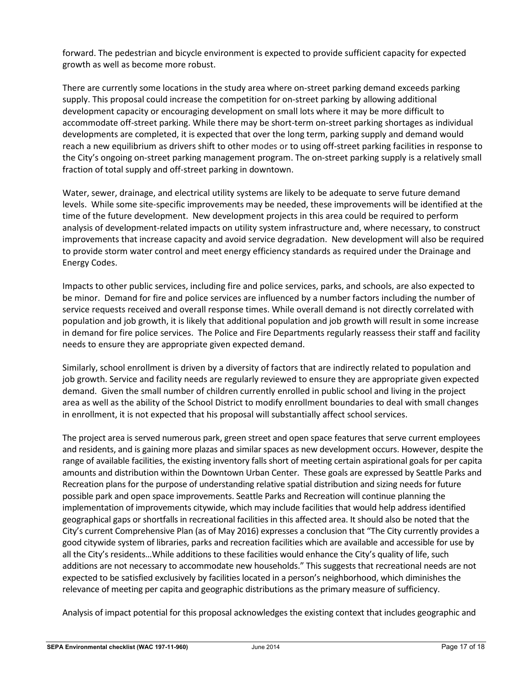forward. The pedestrian and bicycle environment is expected to provide sufficient capacity for expected growth as well as become more robust.

There are currently some locations in the study area where on-street parking demand exceeds parking supply. This proposal could increase the competition for on-street parking by allowing additional development capacity or encouraging development on small lots where it may be more difficult to accommodate off-street parking. While there may be short-term on-street parking shortages as individual developments are completed, it is expected that over the long term, parking supply and demand would reach a new equilibrium as drivers shift to other modes or to using off-street parking facilities in response to the City's ongoing on-street parking management program. The on-street parking supply is a relatively small fraction of total supply and off-street parking in downtown.

Water, sewer, drainage, and electrical utility systems are likely to be adequate to serve future demand levels. While some site-specific improvements may be needed, these improvements will be identified at the time of the future development. New development projects in this area could be required to perform analysis of development-related impacts on utility system infrastructure and, where necessary, to construct improvements that increase capacity and avoid service degradation. New development will also be required to provide storm water control and meet energy efficiency standards as required under the Drainage and Energy Codes.

Impacts to other public services, including fire and police services, parks, and schools, are also expected to be minor. Demand for fire and police services are influenced by a number factors including the number of service requests received and overall response times. While overall demand is not directly correlated with population and job growth, it is likely that additional population and job growth will result in some increase in demand for fire police services. The Police and Fire Departments regularly reassess their staff and facility needs to ensure they are appropriate given expected demand.

Similarly, school enrollment is driven by a diversity of factors that are indirectly related to population and job growth. Service and facility needs are regularly reviewed to ensure they are appropriate given expected demand. Given the small number of children currently enrolled in public school and living in the project area as well as the ability of the School District to modify enrollment boundaries to deal with small changes in enrollment, it is not expected that his proposal will substantially affect school services.

The project area is served numerous park, green street and open space features that serve current employees and residents, and is gaining more plazas and similar spaces as new development occurs. However, despite the range of available facilities, the existing inventory falls short of meeting certain aspirational goals for per capita amounts and distribution within the Downtown Urban Center. These goals are expressed by Seattle Parks and Recreation plans for the purpose of understanding relative spatial distribution and sizing needs for future possible park and open space improvements. Seattle Parks and Recreation will continue planning the implementation of improvements citywide, which may include facilities that would help address identified geographical gaps or shortfalls in recreational facilities in this affected area. It should also be noted that the City's current Comprehensive Plan (as of May 2016) expresses a conclusion that "The City currently provides a good citywide system of libraries, parks and recreation facilities which are available and accessible for use by all the City's residents…While additions to these facilities would enhance the City's quality of life, such additions are not necessary to accommodate new households." This suggests that recreational needs are not expected to be satisfied exclusively by facilities located in a person's neighborhood, which diminishes the relevance of meeting per capita and geographic distributions as the primary measure of sufficiency.

Analysis of impact potential for this proposal acknowledges the existing context that includes geographic and